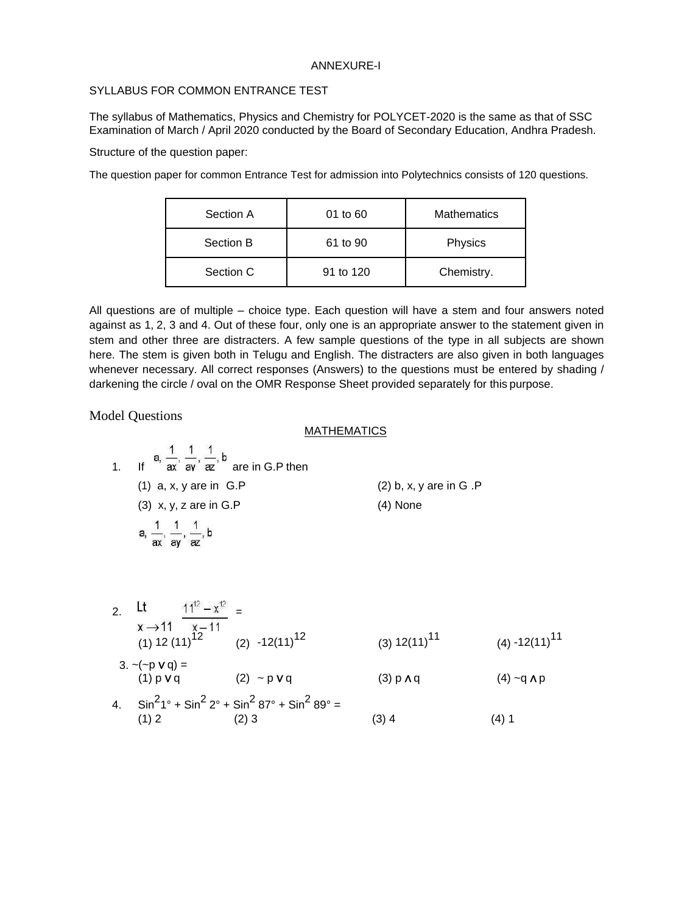## ANNEXURE-I

## SYLLABUS FOR COMMON ENTRANCE TEST

The syllabus of Mathematics, Physics and Chemistry for POLYCET-2020 is the same as that of SSC Examination of March / April 2020 conducted by the Board of Secondary Education, Andhra Pradesh.

Structure of the question paper:

The question paper for common Entrance Test for admission into Polytechnics consists of 120 questions.

| Section A | 01 to 60  | <b>Mathematics</b> |
|-----------|-----------|--------------------|
| Section B | 61 to 90  | Physics            |
| Section C | 91 to 120 | Chemistry.         |

All questions are of multiple – choice type. Each question will have a stem and four answers noted against as 1, 2, 3 and 4. Out of these four, only one is an appropriate answer to the statement given in stem and other three are distracters. A few sample questions of the type in all subjects are shown here. The stem is given both in Telugu and English. The distracters are also given in both languages whenever necessary. All correct responses (Answers) to the questions must be entered by shading / darkening the circle / oval on the OMR Response Sheet provided separately for this purpose.

Model Questions

## MATHEMATICS

1. If 
$$
\[\mathbf{a}, \frac{1}{\mathbf{a} \times \mathbf{a}}, \frac{1}{\mathbf{a} \times \mathbf{a}}, \frac{1}{\mathbf{a}}\]
$$
 are in G.P then  
\n(1)  $\[\mathbf{a}, \mathbf{x}, \mathbf{y} \text{ are in G.P}\]$   
\n(2)  $\[\mathbf{b}, \mathbf{x}, \mathbf{y} \text{ are in G.P}\]$   
\n(3)  $\[\mathbf{x}, \mathbf{y}, \mathbf{z} \text{ are in G.P}\]$   
\n(4) None  
\n(5)  $\[\mathbf{a}, \frac{1}{\mathbf{a} \times \mathbf{a}}, \frac{1}{\mathbf{a} \times \mathbf{a}}, \frac{1}{\mathbf{a} \times \mathbf{a}}, \frac{1}{\mathbf{a} \times \mathbf{a}}\]$ 

2. 
$$
\frac{11}{x} \times \frac{11^{2} - x^{12}}{x - 11} =
$$
  
\n(1) 12 (11)<sup>12</sup> (2) -12(11)<sup>12</sup> (3) 12(11)<sup>11</sup> (4) -12(11)<sup>11</sup>  
\n3. ~(-p v q) =  
\n(1) p v q (2) ~- p v q (3) p A q (4) ~q A p  
\n4.  $\sin^{2}1^{\circ} + \sin^{2}2^{\circ} + \sin^{2}87^{\circ} + \sin^{2}89^{\circ} =$   
\n(1) 2 (2) 3 (3) 4 (4) 1